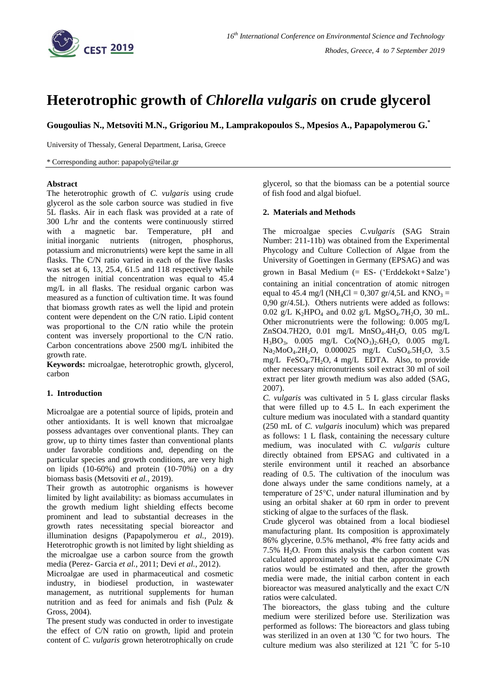

# **Heterotrophic growth of** *Chlorella vulgaris* **on crude glycerol**

**Gougoulias N., Metsoviti M.N., Grigoriou M., Lamprakopoulos S., Mpesios A., Papapolymerou G.\***

University of Thessaly, General Department, Larisa, Greece

\* Corresponding author: papapoly@teilar.gr

### **Abstract**

The heterotrophic growth of *C. vulgaris* using crude glycerol as the sole carbon source was studied in five 5L flasks. Air in each flask was provided at a rate of 300 L/hr and the contents were continuously stirred with a magnetic bar. Temperature, pH and initial inorganic nutrients (nitrogen, phosphorus, potassium and micronutrients) were kept the same in all flasks. The C/N ratio varied in each of the five flasks was set at 6, 13, 25.4, 61.5 and 118 respectively while the nitrogen initial concentration was equal to 45.4 mg/L in all flasks. The residual organic carbon was measured as a function of cultivation time. It was found that biomass growth rates as well the lipid and protein content were dependent on the C/N ratio. Lipid content was proportional to the C/N ratio while the protein content was inversely proportional to the C/N ratio. Carbon concentrations above 2500 mg/L inhibited the growth rate.

**Keywords:** microalgae, heterotrophic growth, glycerol, carbon

## **1. Introduction**

Microalgae are a potential source of lipids, protein and other antioxidants. It is well known that microalgae possess advantages over conventional plants. They can grow, up to thirty times faster than conventional plants under favorable conditions and, depending on the particular species and growth conditions, are very high on lipids (10-60%) and protein (10-70%) on a dry biomass basis (Metsoviti *et al.*, 2019).

Their growth as autotrophic organisms is however limited by light availability: as biomass accumulates in the growth medium light shielding effects become prominent and lead to substantial decreases in the growth rates necessitating special bioreactor and illumination designs (Papapolymerou *et al.*, 2019). Heterotrophic growth is not limited by light shielding as the microalgae use a carbon source from the growth media (Perez- Garcia *et al.*, 2011; Devi *et al.*, 2012).

Microalgae are used in pharmaceutical and cosmetic industry, in biodiesel production, in wastewater management, as nutritional supplements for human nutrition and as feed for animals and fish (Pulz & Gross, 2004).

The present study was conducted in order to investigate the effect of C/N ratio on growth, lipid and protein content of *C. vulgaris* grown heterotrophically on crude glycerol, so that the biomass can be a potential source of fish food and algal biofuel.

### **2. Materials and Methods**

The microalgae species *C.vulgaris* (SAG Strain Number: 211-11b) was obtained from the Experimental Phycology and Culture Collection of Algae from the University of Goettingen in Germany (EPSAG) and was grown in Basal Medium (= ES- ('Erddekokt+Salze') containing an initial concentration of atomic nitrogen equal to 45.4 mg/l (NH<sub>4</sub>Cl = 0,307 gr/4,5L and KNO<sub>3</sub> = 0,90 gr/4.5L). Others nutrients were added as follows: 0.02 g/L  $K_2HPO_4$  and 0.02 g/L MgSO<sub>4</sub>.7H<sub>2</sub>O, 30 mL. Other micronutrients were the following: 0.005 mg/L ZnSO4.7H2O,  $0.01$  mg/L MnSO<sub>4</sub>.4H<sub>2</sub>O,  $0.05$  mg/L  $H_3BO_3$ , 0.005 mg/L Co(NO<sub>3</sub>)<sub>2</sub>.6H<sub>2</sub>O, 0.005 mg/L Na<sub>2</sub>MoO<sub>4</sub>.2H<sub>2</sub>O, 0.000025 mg/L CuSO<sub>4</sub>.5H<sub>2</sub>O, 3.5 mg/L FeSO<sub>4</sub>.7H<sub>2</sub>O, 4 mg/L EDTA. Also, to provide other necessary micronutrients soil extract 30 ml of soil extract per liter growth medium was also added (SAG, 2007).

*C. vulgaris* was cultivated in 5 L glass circular flasks that were filled up to 4.5 L. In each experiment the culture medium was inoculated with a standard quantity (250 mL of *C. vulgaris* inoculum) which was prepared as follows: 1 L flask, containing the necessary culture medium, was inoculated with *C. vulgaris* culture directly obtained from EPSAG and cultivated in a sterile environment until it reached an absorbance reading of 0.5. The cultivation of the inoculum was done always under the same conditions namely, at a temperature of 25°C, under natural illumination and by using an orbital shaker at 60 rpm in order to prevent sticking of algae to the surfaces of the flask.

Crude glycerol was obtained from a local biodiesel manufacturing plant. Its composition is approximately 86% glycerine, 0.5% methanol, 4% free fatty acids and  $7.5\%$  H<sub>2</sub>O. From this analysis the carbon content was calculated approximately so that the approximate C/N ratios would be estimated and then, after the growth media were made, the initial carbon content in each bioreactor was measured analytically and the exact C/N ratios were calculated.

The bioreactors, the glass tubing and the culture medium were sterilized before use. Sterilization was performed as follows: The bioreactors and glass tubing was sterilized in an oven at  $130\text{ °C}$  for two hours. The culture medium was also sterilized at 121  $^{\circ}$ C for 5-10